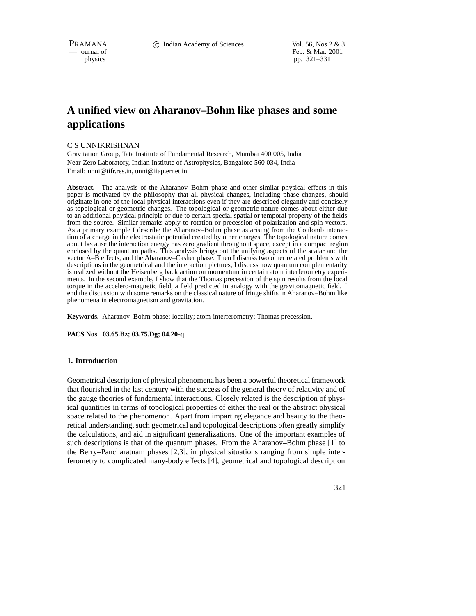PRAMANA 
<sup>c</sup> Indian Academy of Sciences Vol. 56, Nos 2 & 3<br>  $-$  journal of Feb. & Mar. 2001 Feb. & Mar. 2001 physics pp. 321–331

# **A unified view on Aharanov–Bohm like phases and some applications**

## C S UNNIKRISHNAN

Gravitation Group, Tata Institute of Fundamental Research, Mumbai 400 005, India Near-Zero Laboratory, Indian Institute of Astrophysics, Bangalore 560 034, India Email: unni@tifr.res.in, unni@iiap.ernet.in

**Abstract.** The analysis of the Aharanov–Bohm phase and other similar physical effects in this paper is motivated by the philosophy that all physical changes, including phase changes, should originate in one of the local physical interactions even if they are described elegantly and concisely as topological or geometric changes. The topological or geometric nature comes about either due to an additional physical principle or due to certain special spatial or temporal property of the fields from the source. Similar remarks apply to rotation or precession of polarization and spin vectors. As a primary example I describe the Aharanov–Bohm phase as arising from the Coulomb interaction of a charge in the electrostatic potential created by other charges. The topological nature comes about because the interaction energy has zero gradient throughout space, except in a compact region enclosed by the quantum paths. This analysis brings out the unifying aspects of the scalar and the vector A–B effects, and the Aharanov–Casher phase. Then I discuss two other related problems with descriptions in the geometrical and the interaction pictures; I discuss how quantum complementarity is realized without the Heisenberg back action on momentum in certain atom interferometry experiments. In the second example, I show that the Thomas precession of the spin results from the local torque in the accelero-magnetic field, a field predicted in analogy with the gravitomagnetic field. I end the discussion with some remarks on the classical nature of fringe shifts in Aharanov–Bohm like phenomena in electromagnetism and gravitation.

**Keywords.** Aharanov–Bohm phase; locality; atom-interferometry; Thomas precession.

**PACS Nos 03.65.Bz; 03.75.Dg; 04.20-q**

## **1. Introduction**

Geometrical description of physical phenomena has been a powerful theoretical framework that flourished in the last century with the success of the general theory of relativity and of the gauge theories of fundamental interactions. Closely related is the description of physical quantities in terms of topological properties of either the real or the abstract physical space related to the phenomenon. Apart from imparting elegance and beauty to the theoretical understanding, such geometrical and topological descriptions often greatly simplify the calculations, and aid in significant generalizations. One of the important examples of such descriptions is that of the quantum phases. From the Aharanov–Bohm phase [1] to the Berry–Pancharatnam phases [2,3], in physical situations ranging from simple interferometry to complicated many-body effects [4], geometrical and topological description

321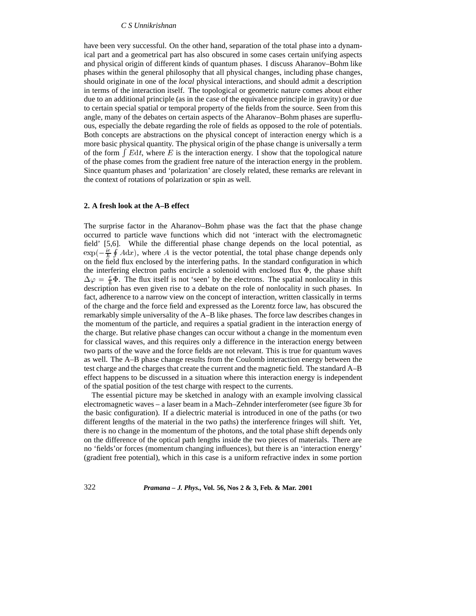have been very successful. On the other hand, separation of the total phase into a dynamical part and a geometrical part has also obscured in some cases certain unifying aspects and physical origin of different kinds of quantum phases. I discuss Aharanov–Bohm like phases within the general philosophy that all physical changes, including phase changes, should originate in one of the *local* physical interactions, and should admit a description in terms of the interaction itself. The topological or geometric nature comes about either due to an additional principle (as in the case of the equivalence principle in gravity) or due to certain special spatial or temporal property of the fields from the source. Seen from this angle, many of the debates on certain aspects of the Aharanov–Bohm phases are superfluous, especially the debate regarding the role of fields as opposed to the role of potentials. Both concepts are abstractions on the physical concept of interaction energy which is a more basic physical quantity. The physical origin of the phase change is universally a term of the form  $\int E dt$ , where E is the interaction energy. I show that the topological nature of the phase comes from the gradient free nature of the interaction energy in the problem. Since quantum phases and 'polarization' are closely related, these remarks are relevant in the context of rotations of polarization or spin as well.

## **2. A fresh look at the A–B effect**

The surprise factor in the Aharanov–Bohm phase was the fact that the phase change occurred to particle wave functions which did not 'interact with the electromagnetic field' [5,6]. While the differential phase change depends on the local potential, as  $\exp(-\frac{ie}{\hbar}\oint A dx)$ , where A is the vector potential, the total phase change depends only on the field flux enclosed by the interfering paths. In the standard configuration in which the interfering electron paths encircle a solenoid with enclosed flux  $\Phi$ , the phase shift  $\Delta \varphi = \frac{e}{\hbar} \Phi$ . The flux itself is not 'seen' by the electrons. The spatial nonlocality in this description has even given rise to a debate on the role of nonlocality in such phases. In fact, adherence to a narrow view on the concept of interaction, written classically in terms of the charge and the force field and expressed as the Lorentz force law, has obscured the remarkably simple universality of the A–B like phases. The force law describes changes in the momentum of the particle, and requires a spatial gradient in the interaction energy of the charge. But relative phase changes can occur without a change in the momentum even for classical waves, and this requires only a difference in the interaction energy between two parts of the wave and the force fields are not relevant. This is true for quantum waves as well. The A–B phase change results from the Coulomb interaction energy between the test charge and the charges that create the current and the magnetic field. The standard A–B effect happens to be discussed in a situation where this interaction energy is independent of the spatial position of the test charge with respect to the currents.

The essential picture may be sketched in analogy with an example involving classical electromagnetic waves – a laser beam in a Mach–Zehnder interferometer (see figure 3b for the basic configuration). If a dielectric material is introduced in one of the paths (or two different lengths of the material in the two paths) the interference fringes will shift. Yet, there is no change in the momentum of the photons, and the total phase shift depends only on the difference of the optical path lengths inside the two pieces of materials. There are no 'fields'or forces (momentum changing influences), but there is an 'interaction energy' (gradient free potential), which in this case is a uniform refractive index in some portion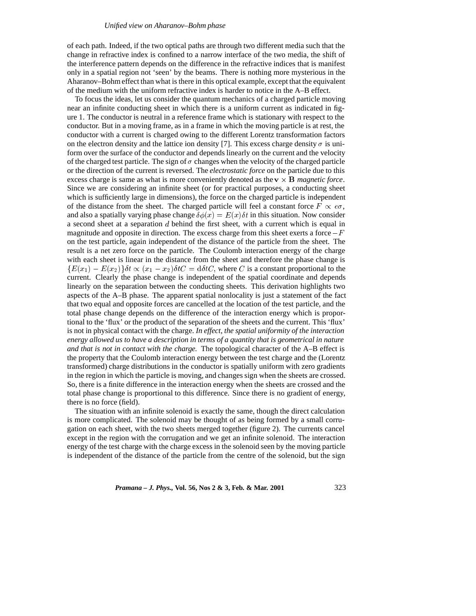#### *Unified view on Aharanov–Bohm phase*

of each path. Indeed, if the two optical paths are through two different media such that the change in refractive index is confined to a narrow interface of the two media, the shift of the interference pattern depends on the difference in the refractive indices that is manifest only in a spatial region not 'seen' by the beams. There is nothing more mysterious in the Aharanov–Bohm effect than what is there in this optical example, except that the equivalent of the medium with the uniform refractive index is harder to notice in the A–B effect.

To focus the ideas, let us consider the quantum mechanics of a charged particle moving near an infinite conducting sheet in which there is a uniform current as indicated in figure 1. The conductor is neutral in a reference frame which is stationary with respect to the conductor. But in a moving frame, as in a frame in which the moving particle is at rest, the conductor with a current is charged owing to the different Lorentz transformation factors on the electron density and the lattice ion density [7]. This excess charge density  $\sigma$  is uniform over the surface of the conductor and depends linearly on the current and the velocity of the charged test particle. The sign of  $\sigma$  changes when the velocity of the charged particle or the direction of the current is reversed. The *electrostatic force* on the particle due to this excess charge is same as what is more conveniently denoted as the  $v \times B$  *magnetic force*. Since we are considering an infinite sheet (or for practical purposes, a conducting sheet which is sufficiently large in dimensions), the force on the charged particle is independent of the distance from the sheet. The charged particle will feel a constant force  $F \propto e\sigma$ , and also a spatially varying phase change  $\delta\phi(x) = E(x)\delta t$  in this situation. Now consider a second sheet at a separation d behind the first sheet, with a current which is equal in magnitude and opposite in direction. The excess charge from this sheet exerts a force  $-F$ on the test particle, again independent of the distance of the particle from the sheet. The result is a net zero force on the particle. The Coulomb interaction energy of the charge with each sheet is linear in the distance from the sheet and therefore the phase change is  ${E(x_1) - E(x_2)}\delta t \propto (x_1 - x_2)\delta tC = d\delta tC$ , where C is a constant proportional to the current. Clearly the phase change is independent of the spatial coordinate and depends linearly on the separation between the conducting sheets. This derivation highlights two aspects of the A–B phase. The apparent spatial nonlocality is just a statement of the fact that two equal and opposite forces are cancelled at the location of the test particle, and the total phase change depends on the difference of the interaction energy which is proportional to the 'flux' or the product of the separation of the sheets and the current. This 'flux' is not in physical contact with the charge. *In effect, the spatial uniformity of the interaction energy allowed us to have a description in terms of a quantity that is geometrical in nature and that is not in contact with the charge.* The topological character of the A–B effect is the property that the Coulomb interaction energy between the test charge and the (Lorentz transformed) charge distributions in the conductor is spatially uniform with zero gradients in the region in which the particle is moving, and changes sign when the sheets are crossed. So, there is a finite difference in the interaction energy when the sheets are crossed and the total phase change is proportional to this difference. Since there is no gradient of energy, there is no force (field).

The situation with an infinite solenoid is exactly the same, though the direct calculation is more complicated. The solenoid may be thought of as being formed by a small corrugation on each sheet, with the two sheets merged together (figure 2). The currents cancel except in the region with the corrugation and we get an infinite solenoid. The interaction energy of the test charge with the charge excess in the solenoid seen by the moving particle is independent of the distance of the particle from the centre of the solenoid, but the sign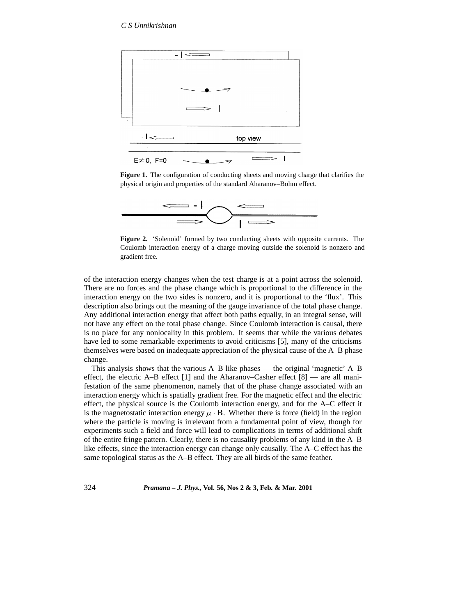

**Figure 1.** The configuration of conducting sheets and moving charge that clarifies the physical origin and properties of the standard Aharanov–Bohm effect.



**Figure 2.** 'Solenoid' formed by two conducting sheets with opposite currents. The Coulomb interaction energy of a charge moving outside the solenoid is nonzero and gradient free.

of the interaction energy changes when the test charge is at a point across the solenoid. There are no forces and the phase change which is proportional to the difference in the interaction energy on the two sides is nonzero, and it is proportional to the 'flux'. This description also brings out the meaning of the gauge invariance of the total phase change. Any additional interaction energy that affect both paths equally, in an integral sense, will not have any effect on the total phase change. Since Coulomb interaction is causal, there is no place for any nonlocality in this problem. It seems that while the various debates have led to some remarkable experiments to avoid criticisms [5], many of the criticisms themselves were based on inadequate appreciation of the physical cause of the A–B phase change.

This analysis shows that the various A–B like phases — the original 'magnetic' A–B effect, the electric A–B effect [1] and the Aharanov–Casher effect  $[8]$  — are all manifestation of the same phenomenon, namely that of the phase change associated with an interaction energy which is spatially gradient free. For the magnetic effect and the electric effect, the physical source is the Coulomb interaction energy, and for the A–C effect it is the magnetostatic interaction energy  $\mu \cdot \mathbf{B}$ . Whether there is force (field) in the region where the particle is moving is irrelevant from a fundamental point of view, though for experiments such a field and force will lead to complications in terms of additional shift of the entire fringe pattern. Clearly, there is no causality problems of any kind in the A–B like effects, since the interaction energy can change only causally. The A–C effect has the same topological status as the A–B effect. They are all birds of the same feather.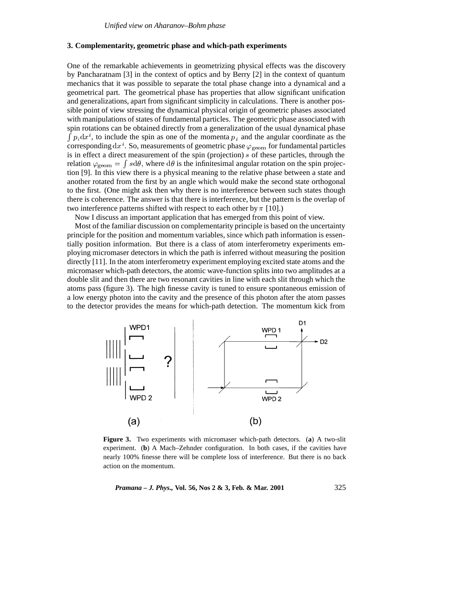## **3. Complementarity, geometric phase and which-path experiments**

One of the remarkable achievements in geometrizing physical effects was the discovery by Pancharatnam [3] in the context of optics and by Berry [2] in the context of quantum mechanics that it was possible to separate the total phase change into a dynamical and a geometrical part. The geometrical phase has properties that allow significant unification and generalizations, apart from significant simplicity in calculations. There is another possible point of view stressing the dynamical physical origin of geometric phases associated with manipulations of states of fundamental particles. The geometric phase associated with spin rotations can be obtained directly from a generalization of the usual dynamical phase  $\int p_i dx^i$ , to include the spin as one of the momenta  $p_i$  and the angular coordinate as the corresponding  $dx^i$ . So, measurements of geometric phase  $\varphi_{\rm geom}$  for fundamental particles is in effect a direct measurement of the spin (projection) s of these particles, through the relation  $\varphi_{\text{geom}} = \int s d\theta$ , where  $d\theta$  is the infinitesimal angular rotation on the spin projection [9]. In this view there is a physical meaning to the relative phase between a state and another rotated from the first by an angle which would make the second state orthogonal to the first. (One might ask then why there is no interference between such states though there is coherence. The answer is that there is interference, but the pattern is the overlap of two interference patterns shifted with respect to each other by  $\pi$  [10].)

Now I discuss an important application that has emerged from this point of view.

Most of the familiar discussion on complementarity principle is based on the uncertainty principle for the position and momentum variables, since which path information is essentially position information. But there is a class of atom interferometry experiments employing micromaser detectors in which the path is inferred without measuring the position directly [11]. In the atom interferometry experiment employing excited state atoms and the micromaser which-path detectors, the atomic wave-function splits into two amplitudes at a double slit and then there are two resonant cavities in line with each slit through which the atoms pass (figure 3). The high finesse cavity is tuned to ensure spontaneous emission of a low energy photon into the cavity and the presence of this photon after the atom passes to the detector provides the means for which-path detection. The momentum kick from



**Figure 3.** Two experiments with micromaser which-path detectors. (**a**) A two-slit experiment. (**b**) A Mach–Zehnder configuration. In both cases, if the cavities have nearly 100% finesse there will be complete loss of interference. But there is no back action on the momentum.

*Pramana – J. Phys.,* **Vol. 56, Nos 2 & 3, Feb. & Mar. 2001** 325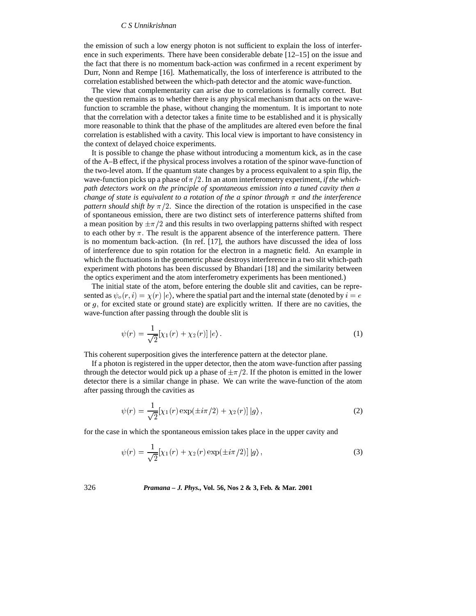the emission of such a low energy photon is not sufficient to explain the loss of interference in such experiments. There have been considerable debate [12–15] on the issue and the fact that there is no momentum back-action was confirmed in a recent experiment by Durr, Nonn and Rempe [16]. Mathematically, the loss of interference is attributed to the correlation established between the which-path detector and the atomic wave-function.

The view that complementarity can arise due to correlations is formally correct. But the question remains as to whether there is any physical mechanism that acts on the wavefunction to scramble the phase, without changing the momentum. It is important to note that the correlation with a detector takes a finite time to be established and it is physically more reasonable to think that the phase of the amplitudes are altered even before the final correlation is established with a cavity. This local view is important to have consistency in the context of delayed choice experiments.

It is possible to change the phase without introducing a momentum kick, as in the case of the A–B effect, if the physical process involves a rotation of the spinor wave-function of the two-level atom. If the quantum state changes by a process equivalent to a spin flip, the wave-function picks up a phase of  $\pi/2$ . In an atom interferometry experiment, *if the whichpath detectors work on the principle of spontaneous emission into a tuned cavity then a change of state is equivalent to a rotation of the a spinor through*  $\pi$  and the interference *pattern should shift by*  $\pi/2$ . Since the direction of the rotation is unspecified in the case of spontaneous emission, there are two distinct sets of interference patterns shifted from a mean position by  $\pm \pi/2$  and this results in two overlapping patterns shifted with respect to each other by  $\pi$ . The result is the apparent absence of the interference pattern. There is no momentum back-action. (In ref. [17], the authors have discussed the idea of loss of interference due to spin rotation for the electron in a magnetic field. An example in which the fluctuations in the geometric phase destroys interference in a two slit which-path experiment with photons has been discussed by Bhandari [18] and the similarity between the optics experiment and the atom interferometry experiments has been mentioned.)

The initial state of the atom, before entering the double slit and cavities, can be represented as  $\psi_o(r, i) = \chi(r) |e\rangle$ , where the spatial part and the internal state (denoted by  $i = e$ or  $g$ , for excited state or ground state) are explicitly written. If there are no cavities, the wave-function after passing through the double slit is

$$
\psi(r) = \frac{1}{\sqrt{2}} [\chi_1(r) + \chi_2(r)] |e\rangle.
$$
 (1)

This coherent superposition gives the interference pattern at the detector plane.

If a photon is registered in the upper detector, then the atom wave-function after passing through the detector would pick up a phase of  $\pm \pi/2$ . If the photon is emitted in the lower detector there is a similar change in phase. We can write the wave-function of the atom after passing through the cavities as

$$
\psi(r) = \frac{1}{\sqrt{2}} [\chi_1(r) \exp(\pm i\pi/2) + \chi_2(r)] |g\rangle, \qquad (2)
$$

for the case in which the spontaneous emission takes place in the upper cavity and

$$
\psi(r) = \frac{1}{\sqrt{2}} [\chi_1(r) + \chi_2(r) \exp(\pm i\pi/2)] |g\rangle, \qquad (3)
$$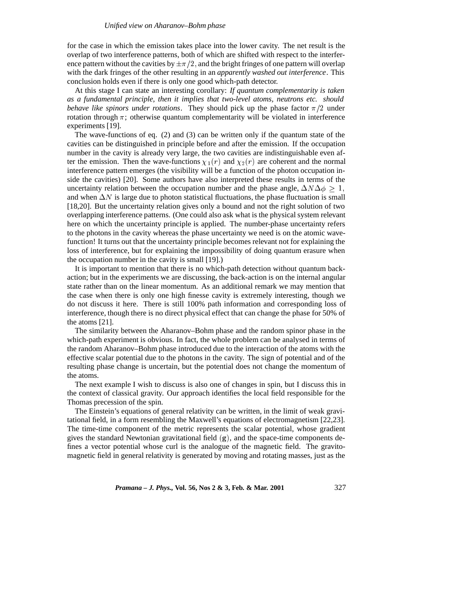for the case in which the emission takes place into the lower cavity. The net result is the overlap of two interference patterns, both of which are shifted with respect to the interference pattern without the cavities by  $\pm \pi/2$ , and the bright fringes of one pattern will overlap with the dark fringes of the other resulting in an *apparently washed out interference*. This conclusion holds even if there is only one good which-path detector.

At this stage I can state an interesting corollary: *If quantum complementarity is taken as a fundamental principle, then it implies that two-level atoms, neutrons etc. should behave like spinors under rotations*. They should pick up the phase factor  $\pi/2$  under rotation through  $\pi$ ; otherwise quantum complementarity will be violated in interference experiments [19].

The wave-functions of eq. (2) and (3) can be written only if the quantum state of the cavities can be distinguished in principle before and after the emission. If the occupation number in the cavity is already very large, the two cavities are indistinguishable even after the emission. Then the wave-functions  $\chi_1(r)$  and  $\chi_2(r)$  are coherent and the normal interference pattern emerges (the visibility will be a function of the photon occupation inside the cavities) [20]. Some authors have also interpreted these results in terms of the uncertainty relation between the occupation number and the phase angle,  $\Delta N \Delta \phi > 1$ , and when  $\Delta N$  is large due to photon statistical fluctuations, the phase fluctuation is small [18,20]. But the uncertainty relation gives only a bound and not the right solution of two overlapping interference patterns. (One could also ask what is the physical system relevant here on which the uncertainty principle is applied. The number-phase uncertainty refers to the photons in the cavity whereas the phase uncertainty we need is on the atomic wavefunction! It turns out that the uncertainty principle becomes relevant not for explaining the loss of interference, but for explaining the impossibility of doing quantum erasure when the occupation number in the cavity is small [19].)

It is important to mention that there is no which-path detection without quantum backaction; but in the experiments we are discussing, the back-action is on the internal angular state rather than on the linear momentum. As an additional remark we may mention that the case when there is only one high finesse cavity is extremely interesting, though we do not discuss it here. There is still 100% path information and corresponding loss of interference, though there is no direct physical effect that can change the phase for 50% of the atoms [21].

The similarity between the Aharanov–Bohm phase and the random spinor phase in the which-path experiment is obvious. In fact, the whole problem can be analysed in terms of the random Aharanov–Bohm phase introduced due to the interaction of the atoms with the effective scalar potential due to the photons in the cavity. The sign of potential and of the resulting phase change is uncertain, but the potential does not change the momentum of the atoms.

The next example I wish to discuss is also one of changes in spin, but I discuss this in the context of classical gravity. Our approach identifies the local field responsible for the Thomas precession of the spin.

The Einstein's equations of general relativity can be written, in the limit of weak gravitational field, in a form resembling the Maxwell's equations of electromagnetism [22,23]. The time-time component of the metric represents the scalar potential, whose gradient gives the standard Newtonian gravitational field  $(g)$ , and the space-time components defines a vector potential whose curl is the analogue of the magnetic field. The gravitomagnetic field in general relativity is generated by moving and rotating masses, just as the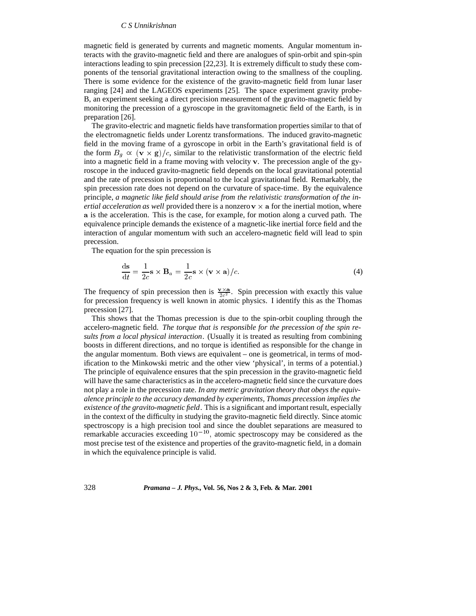magnetic field is generated by currents and magnetic moments. Angular momentum interacts with the gravito-magnetic field and there are analogues of spin-orbit and spin-spin interactions leading to spin precession [22,23]. It is extremely difficult to study these components of the tensorial gravitational interaction owing to the smallness of the coupling. There is some evidence for the existence of the gravito-magnetic field from lunar laser ranging [24] and the LAGEOS experiments [25]. The space experiment gravity probe-B, an experiment seeking a direct precision measurement of the gravito-magnetic field by monitoring the precession of a gyroscope in the gravitomagnetic field of the Earth, is in preparation [26].

The gravito-electric and magnetic fields have transformation properties similar to that of the electromagnetic fields under Lorentz transformations. The induced gravito-magnetic field in the moving frame of a gyroscope in orbit in the Earth's gravitational field is of the form  $B_g \propto (\mathbf{v} \times \mathbf{g})/c$ , similar to the relativistic transformation of the electric field into a magnetic field in a frame moving with velocity <sup>v</sup>. The precession angle of the gyroscope in the induced gravito-magnetic field depends on the local gravitational potential and the rate of precession is proportional to the local gravitational field. Remarkably, the spin precession rate does not depend on the curvature of space-time. By the equivalence principle, *a magnetic like field should arise from the relativistic transformation of the inertial acceleration as well* provided there is a nonzero  $v \times a$  for the inertial motion, where a is the acceleration. This is the case, for example, for motion along a curved path. The equivalence principle demands the existence of a magnetic-like inertial force field and the interaction of angular momentum with such an accelero-magnetic field will lead to spin precession.

The equation for the spin precession is

$$
\frac{\mathrm{d}\mathbf{s}}{\mathrm{d}t} = \frac{1}{2c}\mathbf{s} \times \mathbf{B}_a = \frac{1}{2c}\mathbf{s} \times (\mathbf{v} \times \mathbf{a})/c.
$$
 (4)

The frequency of spin precession then is  $\frac{\mathbf{v} \times \mathbf{a}}{2c^2}$ . Spin precession with exactly this value for precession frequency is well known in atomic physics. I identify this as the Thomas precession [27].

This shows that the Thomas precession is due to the spin-orbit coupling through the accelero-magnetic field. *The torque that is responsible for the precession of the spin results from a local physical interaction*. (Usually it is treated as resulting from combining boosts in different directions, and no torque is identified as responsible for the change in the angular momentum. Both views are equivalent – one is geometrical, in terms of modification to the Minkowski metric and the other view 'physical', in terms of a potential.) The principle of equivalence ensures that the spin precession in the gravito-magnetic field will have the same characteristics as in the accelero-magnetic field since the curvature does not play a role in the precession rate. *In any metric gravitation theory that obeys the equivalence principle to the accuracy demanded by experiments, Thomas precession implies the existence of the gravito-magnetic field*. This is a significant and important result, especially in the context of the difficulty in studying the gravito-magnetic field directly. Since atomic spectroscopy is a high precision tool and since the doublet separations are measured to remarkable accuracies exceeding  $10^{-10}$ , atomic spectroscopy may be considered as the most precise test of the existence and properties of the gravito-magnetic field, in a domain in which the equivalence principle is valid.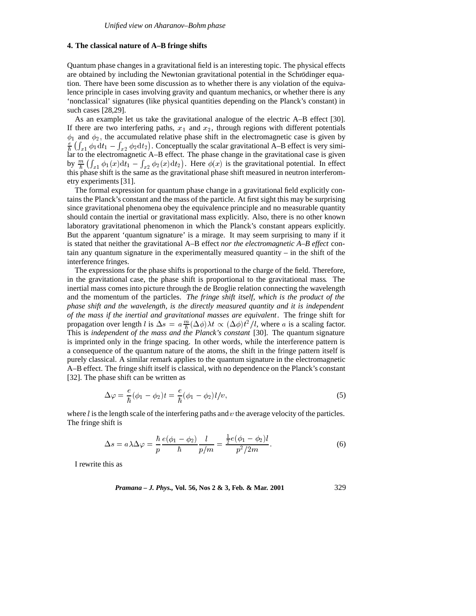## **4. The classical nature of A–B fringe shifts**

Quantum phase changes in a gravitational field is an interesting topic. The physical effects are obtained by including the Newtonian gravitational potential in the Schrödinger equation. There have been some discussion as to whether there is any violation of the equivalence principle in cases involving gravity and quantum mechanics, or whether there is any 'nonclassical' signatures (like physical quantities depending on the Planck's constant) in such cases [28,29].

As an example let us take the gravitational analogue of the electric A–B effect [30]. If there are two interfering paths,  $x_1$  and  $x_2$ , through regions with different potentials  $\phi_1$  and  $\phi_2$ , the accumulated relative phase shift in the electromagnetic case is given by  $\frac{e}{\hbar} \left( \int_{x_1} \phi_1 dt_1 - \int_{x_2} \phi_2 dt_2 \right)$ . Conceptually the scalar gravitational A–B effect is very similar to the electromagnetic A–B effect. The phase change in the gravitational case is given by  $\frac{m}{\hbar} \left( \int_{x_1} \phi_1(x) dt_1 - \int_{x_2} \phi_2(x) dt_2 \right)$ . Here  $\phi(x)$  is the gravitational potential. In effect this phase shift is the same as the gravitational phase shift measured in neutron interferometry experiments [31].

The formal expression for quantum phase change in a gravitational field explicitly contains the Planck's constant and the mass of the particle. At first sight this may be surprising since gravitational phenomena obey the equivalence principle and no measurable quantity should contain the inertial or gravitational mass explicitly. Also, there is no other known laboratory gravitational phenomenon in which the Planck's constant appears explicitly. But the apparent 'quantum signature' is a mirage. It may seem surprising to many if it is stated that neither the gravitational A–B effect *nor the electromagnetic A–B effect* contain any quantum signature in the experimentally measured quantity – in the shift of the interference fringes.

The expressions for the phase shifts is proportional to the charge of the field. Therefore, in the gravitational case, the phase shift is proportional to the gravitational mass*.* The inertial mass comes into picture through the de Broglie relation connecting the wavelength and the momentum of the particles. *The fringe shift itself, which is the product of the phase shift and the wavelength, is the directly measured quantity and it is independent of the mass if the inertial and gravitational masses are equivalent*. The fringe shift for propagation over length l is  $\Delta s = a \frac{m}{\hbar} (\Delta \phi) \lambda t \propto (\Delta \phi) t^2 / l$ , where a is a scaling factor. This is *independent of the mass and the Planck's constant* [30]. The quantum signature is imprinted only in the fringe spacing. In other words, while the interference pattern is a consequence of the quantum nature of the atoms, the shift in the fringe pattern itself is purely classical. A similar remark applies to the quantum signature in the electromagnetic A–B effect. The fringe shift itself is classical, with no dependence on the Planck's constant [32]. The phase shift can be written as

$$
\Delta \varphi = \frac{e}{\hbar} (\phi_1 - \phi_2) t = \frac{e}{\hbar} (\phi_1 - \phi_2) l/v,
$$
\n(5)

where  $l$  is the length scale of the interfering paths and  $v$  the average velocity of the particles. The fringe shift is

$$
\Delta s = a\lambda \Delta \varphi = \frac{\hbar}{p} \frac{e(\phi_1 - \phi_2)}{\hbar} \frac{l}{p/m} = \frac{\frac{1}{2}e(\phi_1 - \phi_2)l}{p^2/2m}.
$$
 (6)

I rewrite this as

*Pramana – J. Phys.,* **Vol. 56, Nos 2 & 3, Feb. & Mar. 2001** 329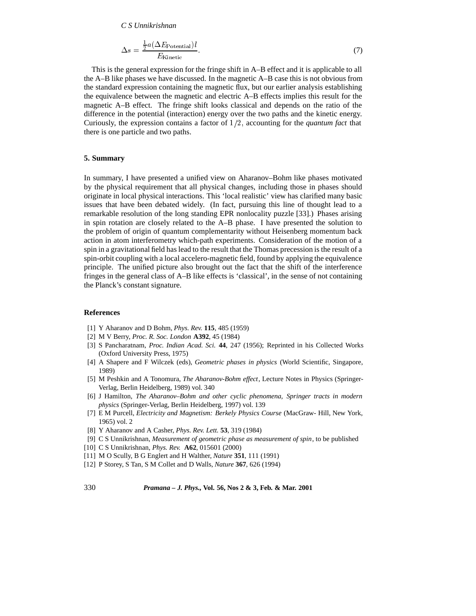$$
\Delta s = \frac{\frac{1}{2}a(\Delta E_{\text{Potential}})l}{E_{\text{Kinetic}}}. \tag{7}
$$

This is the general expression for the fringe shift in A–B effect and it is applicable to all the A–B like phases we have discussed. In the magnetic A–B case this is not obvious from the standard expression containing the magnetic flux, but our earlier analysis establishing the equivalence between the magnetic and electric A–B effects implies this result for the magnetic A–B effect. The fringe shift looks classical and depends on the ratio of the difference in the potential (interaction) energy over the two paths and the kinetic energy. Curiously, the expression contains a factor of  $1/2$ , accounting for the *quantum fact* that there is one particle and two paths.

## **5. Summary**

In summary, I have presented a unified view on Aharanov–Bohm like phases motivated by the physical requirement that all physical changes, including those in phases should originate in local physical interactions. This 'local realistic' view has clarified many basic issues that have been debated widely. (In fact, pursuing this line of thought lead to a remarkable resolution of the long standing EPR nonlocality puzzle [33].) Phases arising in spin rotation are closely related to the A–B phase. I have presented the solution to the problem of origin of quantum complementarity without Heisenberg momentum back action in atom interferometry which-path experiments. Consideration of the motion of a spin in a gravitational field has lead to the result that the Thomas precession is the result of a spin-orbit coupling with a local accelero-magnetic field, found by applying the equivalence principle. The unified picture also brought out the fact that the shift of the interference fringes in the general class of A–B like effects is 'classical', in the sense of not containing the Planck's constant signature.

## **References**

- [1] Y Aharanov and D Bohm, *Phys. Rev.* **115**, 485 (1959)
- [2] M V Berry, *Proc. R. Soc. London* **A392**, 45 (1984)
- [3] S Pancharatnam, *Proc. Indian Acad. Sci.* **44**, 247 (1956); Reprinted in his Collected Works (Oxford University Press, 1975)
- [4] A Shapere and F Wilczek (eds), *Geometric phases in physics* (World Scientific, Singapore, 1989)
- [5] M Peshkin and A Tonomura, *The Aharanov-Bohm effect*, Lecture Notes in Physics (Springer-Verlag, Berlin Heidelberg, 1989) vol. 340
- [6] J Hamilton, *The Aharanov–Bohm and other cyclic phenomena, Springer tracts in modern physics* (Springer-Verlag, Berlin Heidelberg, 1997) vol. 139
- [7] E M Purcell, *Electricity and Magnetism: Berkely Physics Course* (MacGraw- Hill, New York, 1965) vol. 2
- [8] Y Aharanov and A Casher, *Phys. Rev. Lett.* **53**, 319 (1984)
- [9] C S Unnikrishnan, *Measurement of geometric phase as measurement of spin*, to be published
- [10] C S Unnikrishnan, *Phys. Rev.* **A62**, 015601 (2000)
- [11] M O Scully, B G Englert and H Walther, *Nature* **351**, 111 (1991)
- [12] P Storey, S Tan, S M Collet and D Walls, *Nature* **367**, 626 (1994)